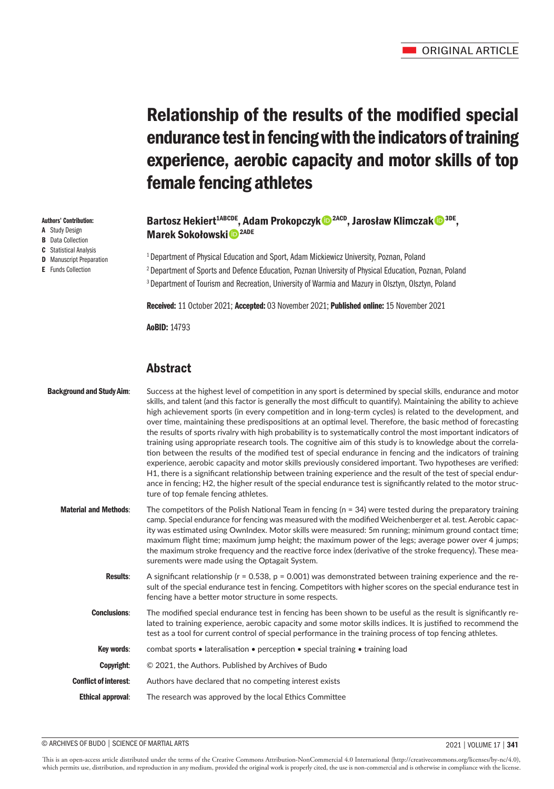# Relationship of the results of the modified special endurance test in fencing with the indicators of training experience, aerobic capacity and motor skills of top female fencing athletes

# Bartosz Hekiert<sup>1ABCDE</sup>, Adam Prokopczyk<sup>® 2ACD</sup>, Jarosław Klimczak<sup>® 3DE</sup>, Marek Sokołowski<sup>D</sup><sup>2ADE</sup>

<sup>1</sup> Department of Physical Education and Sport, Adam Mickiewicz University, Poznan, Poland 2 Department of Sports and Defence Education, Poznan University of Physical Education, Poznan, Poland <sup>3</sup> Department of Tourism and Recreation, University of Warmia and Mazury in Olsztyn, Olsztyn, Poland

Received: 11 October 2021; Accepted: 03 November 2021; Published online: 15 November 2021

AoBID: 14793

# Abstract

| <b>Background and Study Aim:</b> | Success at the highest level of competition in any sport is determined by special skills, endurance and motor<br>skills, and talent (and this factor is generally the most difficult to quantify). Maintaining the ability to achieve<br>high achievement sports (in every competition and in long-term cycles) is related to the development, and<br>over time, maintaining these predispositions at an optimal level. Therefore, the basic method of forecasting<br>the results of sports rivalry with high probability is to systematically control the most important indicators of<br>training using appropriate research tools. The cognitive aim of this study is to knowledge about the correla-<br>tion between the results of the modified test of special endurance in fencing and the indicators of training<br>experience, aerobic capacity and motor skills previously considered important. Two hypotheses are verified:<br>H1, there is a significant relationship between training experience and the result of the test of special endur-<br>ance in fencing; H2, the higher result of the special endurance test is significantly related to the motor struc-<br>ture of top female fencing athletes. |
|----------------------------------|--------------------------------------------------------------------------------------------------------------------------------------------------------------------------------------------------------------------------------------------------------------------------------------------------------------------------------------------------------------------------------------------------------------------------------------------------------------------------------------------------------------------------------------------------------------------------------------------------------------------------------------------------------------------------------------------------------------------------------------------------------------------------------------------------------------------------------------------------------------------------------------------------------------------------------------------------------------------------------------------------------------------------------------------------------------------------------------------------------------------------------------------------------------------------------------------------------------------------|
| <b>Material and Methods:</b>     | The competitors of the Polish National Team in fencing ( $n = 34$ ) were tested during the preparatory training<br>camp. Special endurance for fencing was measured with the modified Weichenberger et al. test. Aerobic capac-<br>ity was estimated using OwnIndex. Motor skills were measured: 5m running; minimum ground contact time;<br>maximum flight time; maximum jump height; the maximum power of the legs; average power over 4 jumps;<br>the maximum stroke frequency and the reactive force index (derivative of the stroke frequency). These mea-<br>surements were made using the Optagait System.                                                                                                                                                                                                                                                                                                                                                                                                                                                                                                                                                                                                        |
| <b>Results:</b>                  | A significant relationship ( $r = 0.538$ , $p = 0.001$ ) was demonstrated between training experience and the re-<br>sult of the special endurance test in fencing. Competitors with higher scores on the special endurance test in<br>fencing have a better motor structure in some respects.                                                                                                                                                                                                                                                                                                                                                                                                                                                                                                                                                                                                                                                                                                                                                                                                                                                                                                                           |
| <b>Conclusions:</b>              | The modified special endurance test in fencing has been shown to be useful as the result is significantly re-<br>lated to training experience, aerobic capacity and some motor skills indices. It is justified to recommend the<br>test as a tool for current control of special performance in the training process of top fencing athletes.                                                                                                                                                                                                                                                                                                                                                                                                                                                                                                                                                                                                                                                                                                                                                                                                                                                                            |
| Key words:                       | combat sports • lateralisation • perception • special training • training load                                                                                                                                                                                                                                                                                                                                                                                                                                                                                                                                                                                                                                                                                                                                                                                                                                                                                                                                                                                                                                                                                                                                           |
| Copyright:                       | © 2021, the Authors. Published by Archives of Budo                                                                                                                                                                                                                                                                                                                                                                                                                                                                                                                                                                                                                                                                                                                                                                                                                                                                                                                                                                                                                                                                                                                                                                       |
| <b>Conflict of interest:</b>     | Authors have declared that no competing interest exists                                                                                                                                                                                                                                                                                                                                                                                                                                                                                                                                                                                                                                                                                                                                                                                                                                                                                                                                                                                                                                                                                                                                                                  |
| <b>Ethical approval:</b>         | The research was approved by the local Ethics Committee                                                                                                                                                                                                                                                                                                                                                                                                                                                                                                                                                                                                                                                                                                                                                                                                                                                                                                                                                                                                                                                                                                                                                                  |

#### © ARCHIVES OF BUDO | SCIENCE OF MARTIAL ARTS 2021 | VOLUME 17 | **341**

This is an open-access article distributed under the terms of the Creative Commons Attribution-NonCommercial 4.0 International (http://creativecommons.org/licenses/by-nc/4.0), which permits use, distribution, and reproduction in any medium, provided the original work is properly cited, the use is non-commercial and is otherwise in compliance with the license.

#### Authors' Contribution:

- A Study Design
- **B** Data Collection
- C Statistical Analysis **D** Manuscript Preparation
- E Funds Collection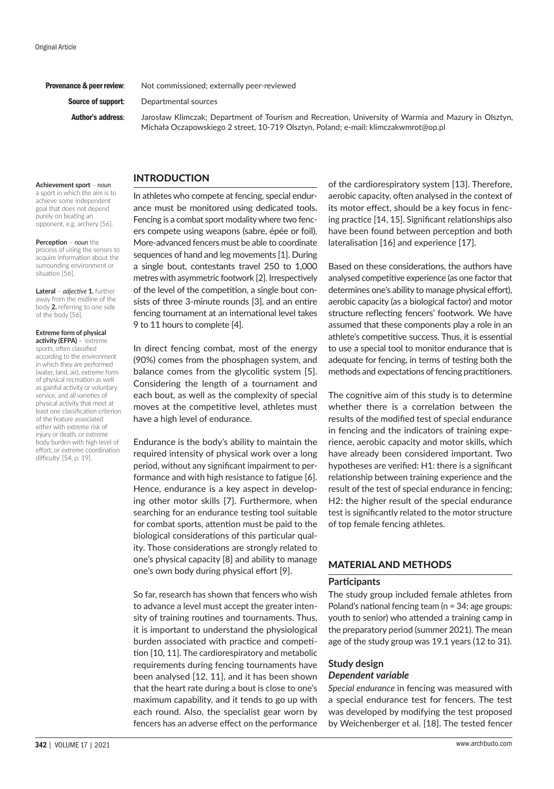**Provenance & peer review:** Not commissioned; externally peer-reviewed

**Source of support:** Departmental sources

Author's address: Jarosław Klimczak; Department of Tourism and Recreation, University of Warmia and Mazury in Olsztyn, Michała Oczapowskiego 2 street, 10-719 Olsztyn, Poland; e-mail: klimczakwmrot@op.pl

#### INTRODUCTION

**Achievement sport** – *noun*  a sport in which the aim is to achieve some independent goal that does not depend purely on beating an opponent, e.g. archery [56].

**Perception** – *noun* the process of using the senses to acquire information about the surrounding environment or situation [56].

**Lateral** – *adjective* **1.** further away from the midline of the body **2.** referring to one side of the body [56].

#### **Extreme form of physical activity (EFPA)** – 'extreme

sports, often classified according to the environment in which they are performed (water, land, air), extreme form of physical recreation as well as gainful activity or voluntary service, and all varieties of physical activity that meet at least one classification criterion of the feature associated either with extreme risk of injury or death, or extreme body burden with high level of effort, or extreme coordination difficulty' [54, p. 19].

In athletes who compete at fencing, special endurance must be monitored using dedicated tools. Fencing is a combat sport modality where two fencers compete using weapons (sabre, épée or foil). More-advanced fencers must be able to coordinate sequences of hand and leg movements [1]. During a single bout, contestants travel 250 to 1,000 metres with asymmetric footwork [2]. Irrespectively of the level of the competition, a single bout consists of three 3-minute rounds [3], and an entire fencing tournament at an international level takes 9 to 11 hours to complete [4].

In direct fencing combat, most of the energy (90%) comes from the phosphagen system, and balance comes from the glycolitic system [5]. Considering the length of a tournament and each bout, as well as the complexity of special moves at the competitive level, athletes must have a high level of endurance.

Endurance is the body's ability to maintain the required intensity of physical work over a long period, without any significant impairment to performance and with high resistance to fatigue [6]. Hence, endurance is a key aspect in developing other motor skills [7]. Furthermore, when searching for an endurance testing tool suitable for combat sports, attention must be paid to the biological considerations of this particular quality. Those considerations are strongly related to one's physical capacity [8] and ability to manage one's own body during physical effort [9].

So far, research has shown that fencers who wish to advance a level must accept the greater intensity of training routines and tournaments. Thus, it is important to understand the physiological burden associated with practice and competition [10, 11]. The cardiorespiratory and metabolic requirements during fencing tournaments have been analysed [12, 11], and it has been shown that the heart rate during a bout is close to one's maximum capability, and it tends to go up with each round. Also, the specialist gear worn by fencers has an adverse effect on the performance

of the cardiorespiratory system [13]. Therefore, aerobic capacity, often analysed in the context of its motor effect, should be a key focus in fencing practice [14, 15]. Significant relationships also have been found between perception and both lateralisation [16] and experience [17].

Based on these considerations, the authors have analysed competitive experience (as one factor that determines one's ability to manage physical effort), aerobic capacity (as a biological factor) and motor structure reflecting fencers' footwork. We have assumed that these components play a role in an athlete's competitive success. Thus, it is essential to use a special tool to monitor endurance that is adequate for fencing, in terms of testing both the methods and expectations of fencing practitioners.

The cognitive aim of this study is to determine whether there is a correlation between the results of the modified test of special endurance in fencing and the indicators of training experience, aerobic capacity and motor skills, which have already been considered important. Two hypotheses are verified: H1: there is a significant relationship between training experience and the result of the test of special endurance in fencing; H2: the higher result of the special endurance test is significantly related to the motor structure of top female fencing athletes.

### MATERIAL AND METHODS

#### **Participants**

The study group included female athletes from Poland's national fencing team (n = 34; age groups: youth to senior) who attended a training camp in the preparatory period (summer 2021). The mean age of the study group was 19.1 years (12 to 31).

## **Study design** *Dependent variable*

*Special endurance* in fencing was measured with a special endurance test for fencers. The test was developed by modifying the test proposed by Weichenberger et al. [18]. The tested fencer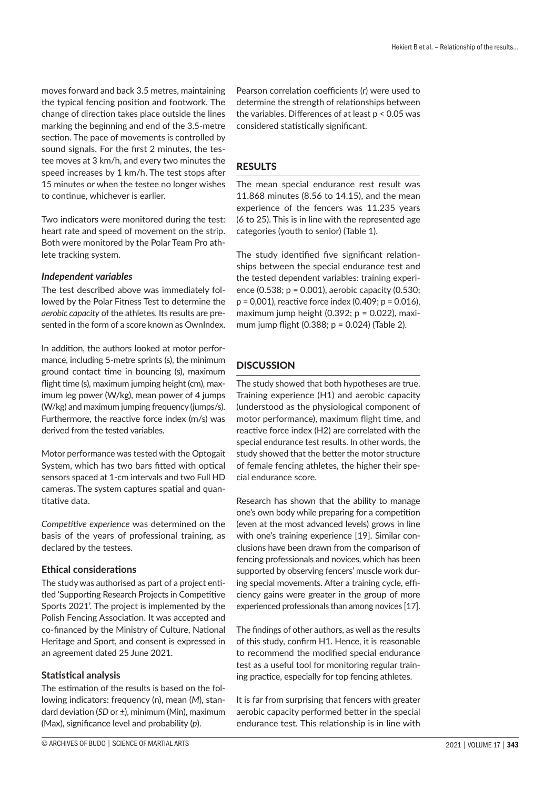moves forward and back 3.5 metres, maintaining the typical fencing position and footwork. The change of direction takes place outside the lines marking the beginning and end of the 3.5-metre section. The pace of movements is controlled by sound signals. For the first 2 minutes, the testee moves at 3 km/h, and every two minutes the speed increases by 1 km/h. The test stops after 15 minutes or when the testee no longer wishes to continue, whichever is earlier.

Two indicators were monitored during the test: heart rate and speed of movement on the strip. Both were monitored by the Polar Team Pro athlete tracking system.

#### *Independent variables*

The test described above was immediately followed by the Polar Fitness Test to determine the *aerobic capacity* of the athletes. Its results are presented in the form of a score known as OwnIndex.

In addition, the authors looked at motor performance, including 5-metre sprints (s), the minimum ground contact time in bouncing (s), maximum flight time (s), maximum jumping height (cm), maximum leg power (W/kg), mean power of 4 jumps (W/kg) and maximum jumping frequency (jumps/s). Furthermore, the reactive force index (m/s) was derived from the tested variables.

Motor performance was tested with the Optogait System, which has two bars fitted with optical sensors spaced at 1-cm intervals and two Full HD cameras. The system captures spatial and quantitative data.

*Competitive experience* was determined on the basis of the years of professional training, as declared by the testees.

### **Ethical considerations**

The study was authorised as part of a project entitled 'Supporting Research Projects in Competitive Sports 2021'. The project is implemented by the Polish Fencing Association. It was accepted and co-financed by the Ministry of Culture, National Heritage and Sport, and consent is expressed in an agreement dated 25 June 2021.

### **Statistical analysis**

The estimation of the results is based on the following indicators: frequency (n), mean (*M*), standard deviation (*SD* or ±), minimum (Min), maximum (Max), significance level and probability (*p*).

Pearson correlation coefficients (r) were used to determine the strength of relationships between the variables. Differences of at least p < 0.05 was considered statistically significant.

# RESULTS

The mean special endurance rest result was 11.868 minutes (8.56 to 14.15), and the mean experience of the fencers was 11.235 years (6 to 25). This is in line with the represented age categories (youth to senior) (Table 1).

The study identified five significant relationships between the special endurance test and the tested dependent variables: training experience (0.538; p = 0.001), aerobic capacity (0.530;  $p = 0.001$ ), reactive force index  $(0.409; p = 0.016)$ , maximum jump height  $(0.392; p = 0.022)$ , maximum jump flight (0.388; p = 0.024) (Table 2).

# **DISCUSSION**

The study showed that both hypotheses are true. Training experience (H1) and aerobic capacity (understood as the physiological component of motor performance), maximum flight time, and reactive force index (H2) are correlated with the special endurance test results. In other words, the study showed that the better the motor structure of female fencing athletes, the higher their special endurance score.

Research has shown that the ability to manage one's own body while preparing for a competition (even at the most advanced levels) grows in line with one's training experience [19]. Similar conclusions have been drawn from the comparison of fencing professionals and novices, which has been supported by observing fencers' muscle work during special movements. After a training cycle, efficiency gains were greater in the group of more experienced professionals than among novices [17].

The findings of other authors, as well as the results of this study, confirm H1. Hence, it is reasonable to recommend the modified special endurance test as a useful tool for monitoring regular training practice, especially for top fencing athletes.

It is far from surprising that fencers with greater aerobic capacity performed better in the special endurance test. This relationship is in line with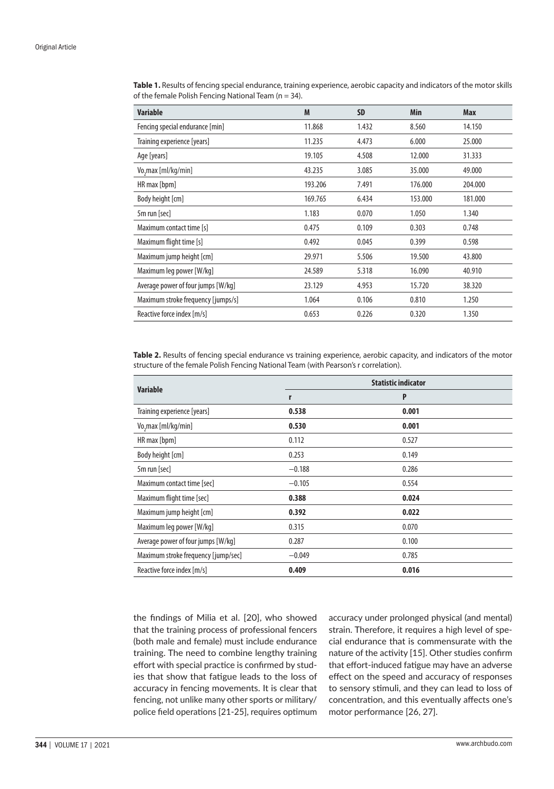| <b>Variable</b>                    | M       | <b>SD</b> | Min     | Max     |
|------------------------------------|---------|-----------|---------|---------|
| Fencing special endurance [min]    | 11.868  | 1.432     | 8.560   | 14.150  |
| Training experience [years]        | 11.235  | 4.473     | 6.000   | 25.000  |
| Age [years]                        | 19.105  | 4.508     | 12.000  | 31.333  |
| Vo, max [ml/kg/min]                | 43.235  | 3.085     | 35.000  | 49.000  |
| HR max [bpm]                       | 193.206 | 7.491     | 176.000 | 204.000 |
| Body height [cm]                   | 169.765 | 6.434     | 153.000 | 181.000 |
| 5m run [sec]                       | 1.183   | 0.070     | 1.050   | 1.340   |
| Maximum contact time [s]           | 0.475   | 0.109     | 0.303   | 0.748   |
| Maximum flight time [s]            | 0.492   | 0.045     | 0.399   | 0.598   |
| Maximum jump height [cm]           | 29.971  | 5.506     | 19.500  | 43.800  |
| Maximum leg power [W/kg]           | 24.589  | 5.318     | 16.090  | 40.910  |
| Average power of four jumps [W/kg] | 23.129  | 4.953     | 15.720  | 38.320  |
| Maximum stroke frequency [jumps/s] | 1.064   | 0.106     | 0.810   | 1.250   |
| Reactive force index [m/s]         | 0.653   | 0.226     | 0.320   | 1.350   |

**Table 1.** Results of fencing special endurance, training experience, aerobic capacity and indicators of the motor skills of the female Polish Fencing National Team ( $n = 34$ ).

**Table 2.** Results of fencing special endurance vs training experience, aerobic capacity, and indicators of the motor structure of the female Polish Fencing National Team (with Pearson's r correlation).

| <b>Variable</b>                     | <b>Statistic indicator</b> |       |  |
|-------------------------------------|----------------------------|-------|--|
|                                     | r                          | P     |  |
| Training experience [years]         | 0.538                      | 0.001 |  |
| Vo, max [ml/kg/min]                 | 0.530                      | 0.001 |  |
| HR max [bpm]                        | 0.112                      | 0.527 |  |
| Body height [cm]                    | 0.253                      | 0.149 |  |
| 5m run [sec]                        | $-0.188$                   | 0.286 |  |
| Maximum contact time [sec]          | $-0.105$                   | 0.554 |  |
| Maximum flight time [sec]           | 0.388                      | 0.024 |  |
| Maximum jump height [cm]            | 0.392                      | 0.022 |  |
| Maximum leg power [W/kg]            | 0.315                      | 0.070 |  |
| Average power of four jumps [W/kg]  | 0.287                      | 0.100 |  |
| Maximum stroke frequency [jump/sec] | $-0.049$                   | 0.785 |  |
| Reactive force index [m/s]          | 0.409                      | 0.016 |  |

the findings of Milia et al. [20], who showed that the training process of professional fencers (both male and female) must include endurance training. The need to combine lengthy training effort with special practice is confirmed by studies that show that fatigue leads to the loss of accuracy in fencing movements. It is clear that fencing, not unlike many other sports or military/ police field operations [21-25], requires optimum accuracy under prolonged physical (and mental) strain. Therefore, it requires a high level of special endurance that is commensurate with the nature of the activity [15]. Other studies confirm that effort-induced fatigue may have an adverse effect on the speed and accuracy of responses to sensory stimuli, and they can lead to loss of concentration, and this eventually affects one's motor performance [26, 27].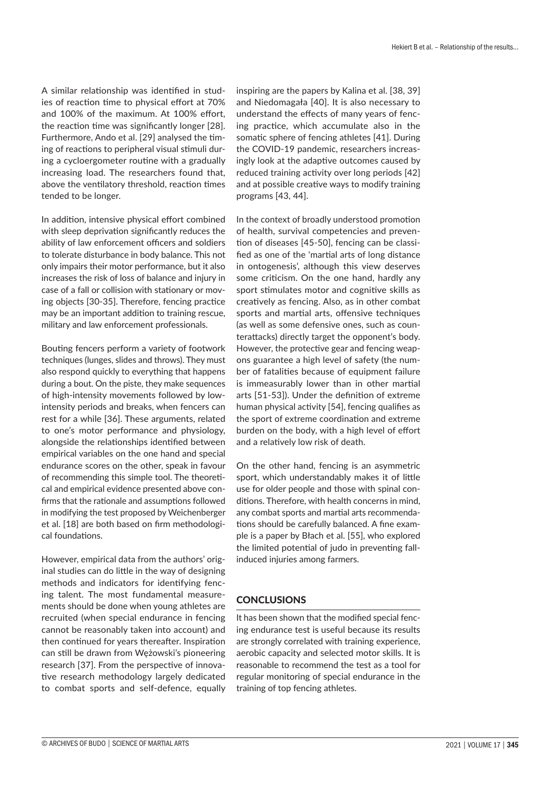A similar relationship was identified in studies of reaction time to physical effort at 70% and 100% of the maximum. At 100% effort, the reaction time was significantly longer [28]. Furthermore, Ando et al. [29] analysed the timing of reactions to peripheral visual stimuli during a cycloergometer routine with a gradually increasing load. The researchers found that, above the ventilatory threshold, reaction times tended to be longer.

In addition, intensive physical effort combined with sleep deprivation significantly reduces the ability of law enforcement officers and soldiers to tolerate disturbance in body balance. This not only impairs their motor performance, but it also increases the risk of loss of balance and injury in case of a fall or collision with stationary or moving objects [30-35]. Therefore, fencing practice may be an important addition to training rescue, military and law enforcement professionals.

Bouting fencers perform a variety of footwork techniques (lunges, slides and throws). They must also respond quickly to everything that happens during a bout. On the piste, they make sequences of high-intensity movements followed by lowintensity periods and breaks, when fencers can rest for a while [36]. These arguments, related to one's motor performance and physiology, alongside the relationships identified between empirical variables on the one hand and special endurance scores on the other, speak in favour of recommending this simple tool. The theoretical and empirical evidence presented above confirms that the rationale and assumptions followed in modifying the test proposed by Weichenberger et al. [18] are both based on firm methodological foundations.

However, empirical data from the authors' original studies can do little in the way of designing methods and indicators for identifying fencing talent. The most fundamental measurements should be done when young athletes are recruited (when special endurance in fencing cannot be reasonably taken into account) and then continued for years thereafter. Inspiration can still be drawn from Wężowski's pioneering research [37]. From the perspective of innovative research methodology largely dedicated to combat sports and self-defence, equally

inspiring are the papers by Kalina et al. [38, 39] and Niedomagała [40]. It is also necessary to understand the effects of many years of fencing practice, which accumulate also in the somatic sphere of fencing athletes [41]. During the COVID-19 pandemic, researchers increasingly look at the adaptive outcomes caused by reduced training activity over long periods [42] and at possible creative ways to modify training programs [43, 44].

In the context of broadly understood promotion of health, survival competencies and prevention of diseases [45-50], fencing can be classified as one of the 'martial arts of long distance in ontogenesis', although this view deserves some criticism. On the one hand, hardly any sport stimulates motor and cognitive skills as creatively as fencing. Also, as in other combat sports and martial arts, offensive techniques (as well as some defensive ones, such as counterattacks) directly target the opponent's body. However, the protective gear and fencing weapons guarantee a high level of safety (the number of fatalities because of equipment failure is immeasurably lower than in other martial arts [51-53]). Under the definition of extreme human physical activity [54], fencing qualifies as the sport of extreme coordination and extreme burden on the body, with a high level of effort and a relatively low risk of death.

On the other hand, fencing is an asymmetric sport, which understandably makes it of little use for older people and those with spinal conditions. Therefore, with health concerns in mind, any combat sports and martial arts recommendations should be carefully balanced. A fine example is a paper by Błach et al. [55], who explored the limited potential of judo in preventing fallinduced injuries among farmers.

## **CONCLUSIONS**

It has been shown that the modified special fencing endurance test is useful because its results are strongly correlated with training experience, aerobic capacity and selected motor skills. It is reasonable to recommend the test as a tool for regular monitoring of special endurance in the training of top fencing athletes.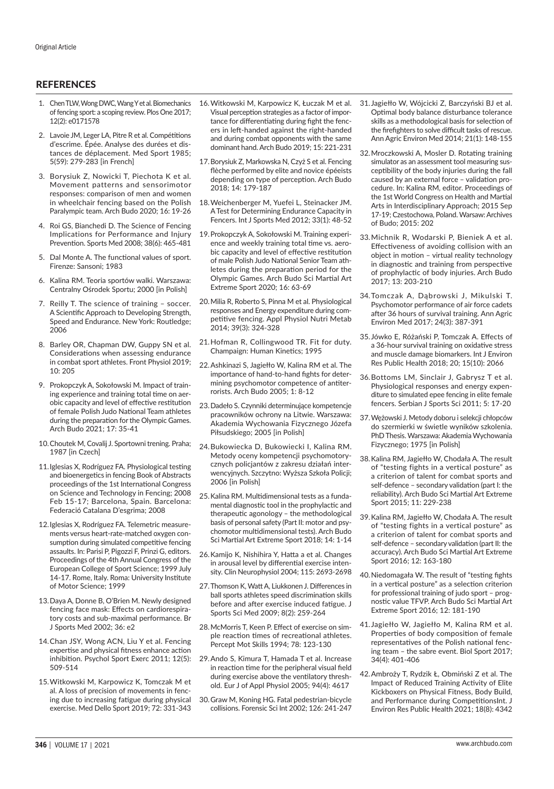#### **REFERENCES**

- 1. Chen TLW, Wong DWC, Wang Y et al. Biomechanics of fencing sport: a scoping review. Plos One 2017; 12(2): e0171578
- 2. Lavoie JM, Leger LA, Pitre R et al. Compétitions d'escrime. Épée. Analyse des durées et distances de déplacement. Med Sport 1985; 5(59): 279-283 [in French]
- 3. Borysiuk Z, Nowicki T, Piechota K et al. Movement patterns and sensorimotor responses: comparison of men and women in wheelchair fencing based on the Polish Paralympic team. Arch Budo 2020; 16: 19-26
- 4. Roi GS, Bianchedi D. The Science of Fencing Implications for Performance and Injury Prevention. Sports Med 2008; 38(6): 465-481
- 5. Dal Monte A. The functional values of sport. Firenze: Sansoni; 1983
- 6. Kalina RM. Teoria sportów walki. Warszawa: Centralny Ośrodek Sportu; 2000 [in Polish]
- 7. Reilly T. The science of training soccer. A Scientific Approach to Developing Strength, Speed and Endurance. New York: Routledge; 2006
- 8. Barley OR, Chapman DW, Guppy SN et al. Considerations when assessing endurance in combat sport athletes. Front Physiol 2019; 10: 205
- 9. Prokopczyk A, Sokołowski M. Impact of training experience and training total time on aerobic capacity and level of effective restitution of female Polish Judo National Team athletes during the preparation for the Olympic Games. Arch Budo 2021; 17: 35-41
- 10.Choutek M, Covalij J. Sportowni trening. Praha; 1987 [in Czech]
- 11.Iglesias X, Rodríguez FA. Physiological testing and bioenergetics in fencing Book of Abstracts proceedings of the 1st International Congress on Science and Technology in Fencing; 2008 Feb 15-17; Barcelona, Spain. Barcelona: Federació Catalana D'esgrima; 2008
- 12.Iglesias X, Rodríguez FA. Telemetric measurements versus heart-rate-matched oxygen consumption during simulated competitive fencing assaults. In: Parisi P, Pigozzi F, Prinzi G, editors. Proceedings of the 4th Annual Congress of the European College of Sport Science; 1999 July 14-17. Rome, Italy. Roma: University Institute of Motor Science; 1999
- 13.Daya A, Donne B, O'Brien M. Newly designed fencing face mask: Effects on cardiorespiratory costs and sub-maximal performance. Br J Sports Med 2002; 36: e2
- 14.Chan JSY, Wong ACN, Liu Y et al. Fencing expertise and physical fitness enhance action inhibition. Psychol Sport Exerc 2011; 12(5): 509-514
- 15.Witkowski M, Karpowicz K, Tomczak M et al. A loss of precision of movements in fencing due to increasing fatigue during physical exercise. Med Dello Sport 2019; 72: 331-343
- 16.Witkowski M, Karpowicz K, Łuczak M et al. Visual perception strategies as a factor of importance for differentiating during fight the fencers in left-handed against the right-handed and during combat opponents with the same dominant hand. Arch Budo 2019; 15: 221-231
- 17.Borysiuk Z, Markowska N, Czyż S et al. Fencing flèche performed by elite and novice épéeists depending on type of perception. Arch Budo 2018; 14: 179-187
- 18.Weichenberger M, Yuefei L, Steinacker JM. ATest for Determining Endurance Capacity in Fencers. Int J Sports Med 2012; 33(1): 48-52
- 19.Prokopczyk A, Sokołowski M. Training experience and weekly training total time vs. aerobic capacity and level of effective restitution of male Polish Judo National Senior Team athletes during the preparation period for the Olympic Games. Arch Budo Sci Martial Art Extreme Sport 2020; 16: 63-69
- 20.Milia R, Roberto S, Pinna M et al. Physiological responses and Energy expenditure during competitive fencing. Appl Physiol Nutri Metab 2014; 39(3): 324-328
- 21.Hofman R, Collingwood TR. Fit for duty. Champaign: Human Kinetics; 1995
- 22.Ashkinazi S, Jagiełło W, Kalina RM et al. The importance of hand-to-hand fights for determining psychomotor competence of antiterrorists. Arch Budo 2005; 1: 8-12
- 23.Dadeło S. Czynniki determinujące kompetencje pracowników ochrony na Litwie. Warszawa: Akademia Wychowania Fizycznego Józefa Piłsudskiego; 2005 [in Polish]
- 24.Bukowiecka D, Bukowiecki I, Kalina RM. Metody oceny kompetencji psychomotorycznych policjantów z zakresu działań interwencyjnych. Szczytno: Wyższa Szkoła Policji; 2006 [in Polish]
- 25.Kalina RM. Multidimensional tests as a fundamental diagnostic tool in the prophylactic and therapeutic agonology – the methodological basis of personal safety (Part II: motor and psychomotor multidimensional tests). Arch Budo Sci Martial Art Extreme Sport 2018; 14: 1-14
- 26.Kamijo K, Nishihira Y, Hatta a et al. Changes in arousal level by differential exercise intensity. Clin Neurophysiol 2004; 115: 2693-2698
- 27.Thomson K, Watt A, Liukkonen J. Differences in ball sports athletes speed discrimination skills before and after exercise induced fatigue. J Sports Sci Med 2009; 8(2): 259-264
- 28.McMorris T, Keen P. Effect of exercise on simple reaction times of recreational athletes. Percept Mot Skills 1994; 78: 123-130
- 29.Ando S, Kimura T, Hamada T et al. Increase in reaction time for the peripheral visual field during exercise above the ventilatory threshold. Eur J of Appl Physiol 2005; 94(4): 4617
- 30.Graw M, Koning HG. Fatal pedestrian-bicycle collisions. Forensic Sci Int 2002; 126: 241-247
- 31. Jagiełło W, Wójcicki Z, Barczyński BJ et al. Optimal body balance disturbance tolerance skills as a methodological basis for selection of the firefighters to solve difficult tasks of rescue. Ann Agric Environ Med 2014; 21(1): 148-155
- 32.Mroczkowski A, Mosler D. Rotating training simulator as an assessment tool measuring susceptibility of the body injuries during the fall caused by an external force – validation procedure. In: Kalina RM, editor. Proceedings of the 1st World Congress on Health and Martial Arts in Interdisciplinary Approach; 2015 Sep 17-19; Czestochowa, Poland. Warsaw: Archives of Budo; 2015: 202
- 33.Michnik R, Wodarski P, Bieniek A et al. Effectiveness of avoiding collision with an object in motion – virtual reality technology in diagnostic and training from perspective of prophylactic of body injuries. Arch Budo 2017; 13: 203-210
- 34.Tomczak A, Dąbrowski J, Mikulski T. Psychomotor performance of air force cadets after 36 hours of survival training. Ann Agric Environ Med 2017; 24(3): 387-391
- 35. Jówko E, Różański P, Tomczak A. Effects of a 36-hour survival training on oxidative stress and muscle damage biomarkers. Int J Environ Res Public Health 2018; 20; 15(10): 2066
- 36.Bottoms LM, Sinclair J, Gabrysz T et al. Physiological responses and energy expenditure to simulated epee fencing in elite female fencers. Serbian J Sports Sci 2011; 5: 17-20
- 37.Wężowski J. Metody doboru i selekcji chłopców do szermierki w świetle wyników szkolenia. PhD Thesis. Warszawa: Akademia Wychowania Fizycznego; 1975 [in Polish]
- 38.Kalina RM, Jagiełło W, Chodała A. The result of "testing fights in a vertical posture" as a criterion of talent for combat sports and self-defence – secondary validation (part I: the reliability). Arch Budo Sci Martial Art Extreme Sport 2015; 11: 229-238
- 39.Kalina RM, Jagiełło W, Chodała A. The result of "testing fights in a vertical posture" as a criterion of talent for combat sports and self-defence – secondary validation (part II: the accuracy). Arch Budo Sci Martial Art Extreme Sport 2016; 12: 163-180
- 40.Niedomagała W. The result of "testing fights in a vertical posture" as a selection criterion for professional training of judo sport – prognostic value TFVP. Arch Budo Sci Martial Art Extreme Sport 2016; 12: 181-190
- 41. Jagiełło W, Jagiełło M, Kalina RM et al. Properties of body composition of female representatives of the Polish national fencing team – the sabre event. Biol Sport 2017; 34(4): 401-406
- 42.Ambroży T, Rydzik Ł, Obmiński Z et al. The Impact of Reduced Training Activity of Elite Kickboxers on Physical Fitness, Body Build, and Performance during CompetitionsInt. J Environ Res Public Health 2021; 18(8): 4342